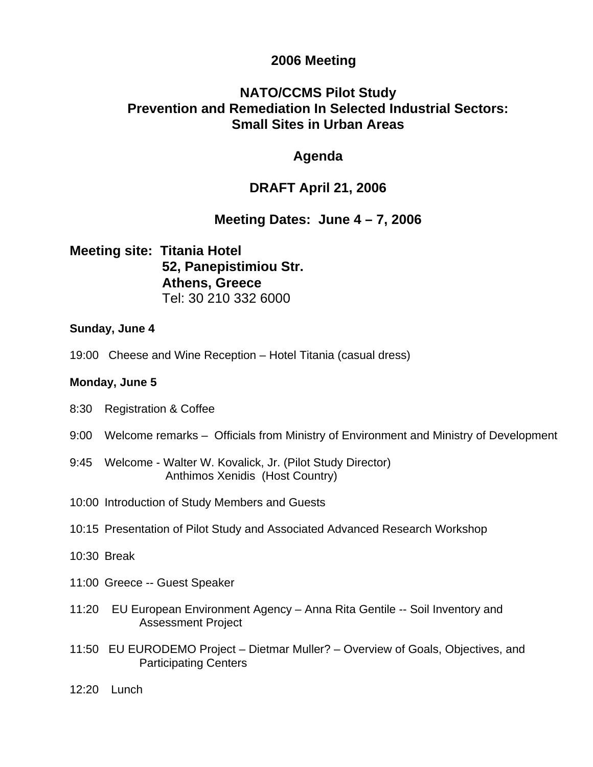## **2006 Meeting**

# **NATO/CCMS Pilot Study Prevention and Remediation In Selected Industrial Sectors: Small Sites in Urban Areas**

## **Agenda**

# **DRAFT April 21, 2006**

# **Meeting Dates: June 4 – 7, 2006**

**Meeting site: Titania Hotel 52, Panepistimiou Str. Athens, Greece**  Tel: 30 210 332 6000

### **Sunday, June 4**

19:00 Cheese and Wine Reception – Hotel Titania (casual dress)

### **Monday, June 5**

- 8:30 Registration & Coffee
- 9:00 Welcome remarks Officials from Ministry of Environment and Ministry of Development
- 9:45 Welcome Walter W. Kovalick, Jr. (Pilot Study Director) Anthimos Xenidis (Host Country)
- 10:00 Introduction of Study Members and Guests
- 10:15 Presentation of Pilot Study and Associated Advanced Research Workshop
- 10:30 Break
- 11:00 Greece -- Guest Speaker
- 11:20 EU European Environment Agency Anna Rita Gentile -- Soil Inventory and Assessment Project
- 11:50 EU EURODEMO Project Dietmar Muller? Overview of Goals, Objectives, and Participating Centers
- 12:20 Lunch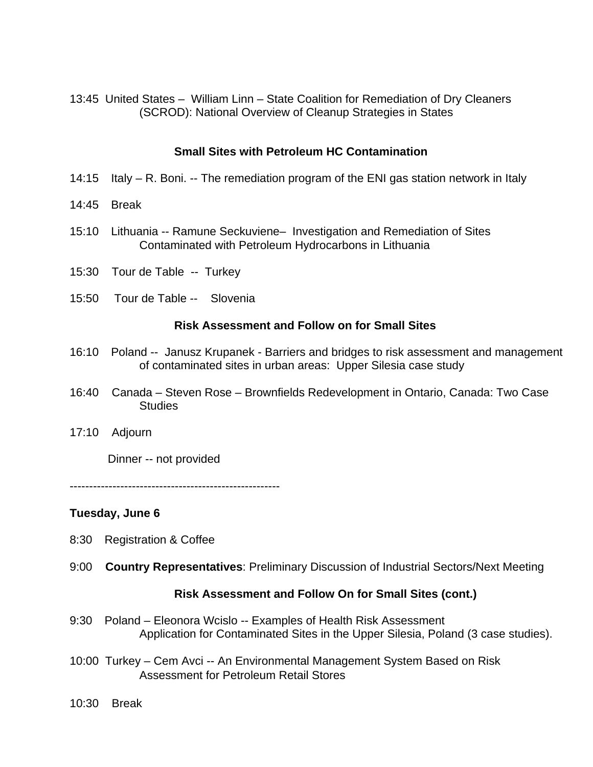13:45 United States – William Linn – State Coalition for Remediation of Dry Cleaners (SCROD): National Overview of Cleanup Strategies in States

### **Small Sites with Petroleum HC Contamination**

- 14:15 Italy R. Boni. -- The remediation program of the ENI gas station network in Italy
- 14:45 Break
- 15:10 Lithuania -- Ramune Seckuviene– Investigation and Remediation of Sites Contaminated with Petroleum Hydrocarbons in Lithuania
- 15:30 Tour de Table -- Turkey
- 15:50 Tour de Table -- Slovenia

#### **Risk Assessment and Follow on for Small Sites**

- 16:10 Poland -- Janusz Krupanek Barriers and bridges to risk assessment and management of contaminated sites in urban areas: Upper Silesia case study
- 16:40 Canada Steven Rose Brownfields Redevelopment in Ontario, Canada: Two Case **Studies**
- 17:10 Adjourn

Dinner -- not provided

------------------------------------------------------

#### **Tuesday, June 6**

- 8:30 Registration & Coffee
- 9:00 **Country Representatives**: Preliminary Discussion of Industrial Sectors/Next Meeting

#### **Risk Assessment and Follow On for Small Sites (cont.)**

- 9:30 Poland Eleonora Wcislo -- Examples of Health Risk Assessment Application for Contaminated Sites in the Upper Silesia, Poland (3 case studies).
- 10:00 Turkey Cem Avci -- An Environmental Management System Based on Risk Assessment for Petroleum Retail Stores
- 10:30 Break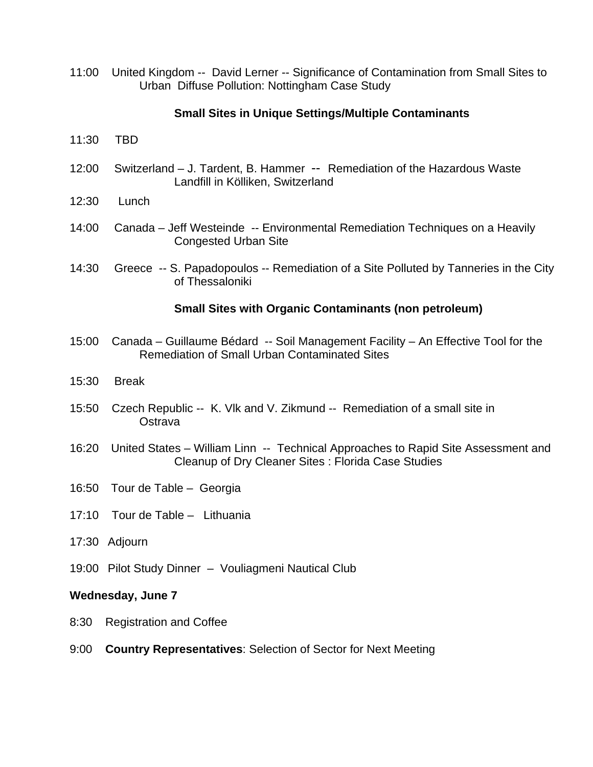11:00 United Kingdom -- David Lerner -- Significance of Contamination from Small Sites to Urban Diffuse Pollution: Nottingham Case Study

### **Small Sites in Unique Settings/Multiple Contaminants**

- 11:30 TBD
- 12:00 Switzerland J. Tardent, B. Hammer -- Remediation of the Hazardous Waste Landfill in Kölliken, Switzerland
- 12:30 Lunch
- 14:00 Canada Jeff Westeinde -- Environmental Remediation Techniques on a Heavily Congested Urban Site
- 14:30 Greece -- S. Papadopoulos -- Remediation of a Site Polluted by Tanneries in the City of Thessaloniki

#### **Small Sites with Organic Contaminants (non petroleum)**

- 15:00 Canada Guillaume Bédard -- Soil Management Facility An Effective Tool for the Remediation of Small Urban Contaminated Sites
- 15:30 Break
- 15:50 Czech Republic -- K. Vlk and V. Zikmund -- Remediation of a small site in **Ostrava**
- 16:20 United States William Linn -- Technical Approaches to Rapid Site Assessment and Cleanup of Dry Cleaner Sites : Florida Case Studies
- 16:50Tour de Table Georgia
- 17:10 Tour de Table Lithuania
- 17:30 Adjourn
- 19:00 Pilot Study Dinner Vouliagmeni Nautical Club

#### **Wednesday, June 7**

- 8:30 Registration and Coffee
- 9:00 **Country Representatives**: Selection of Sector for Next Meeting